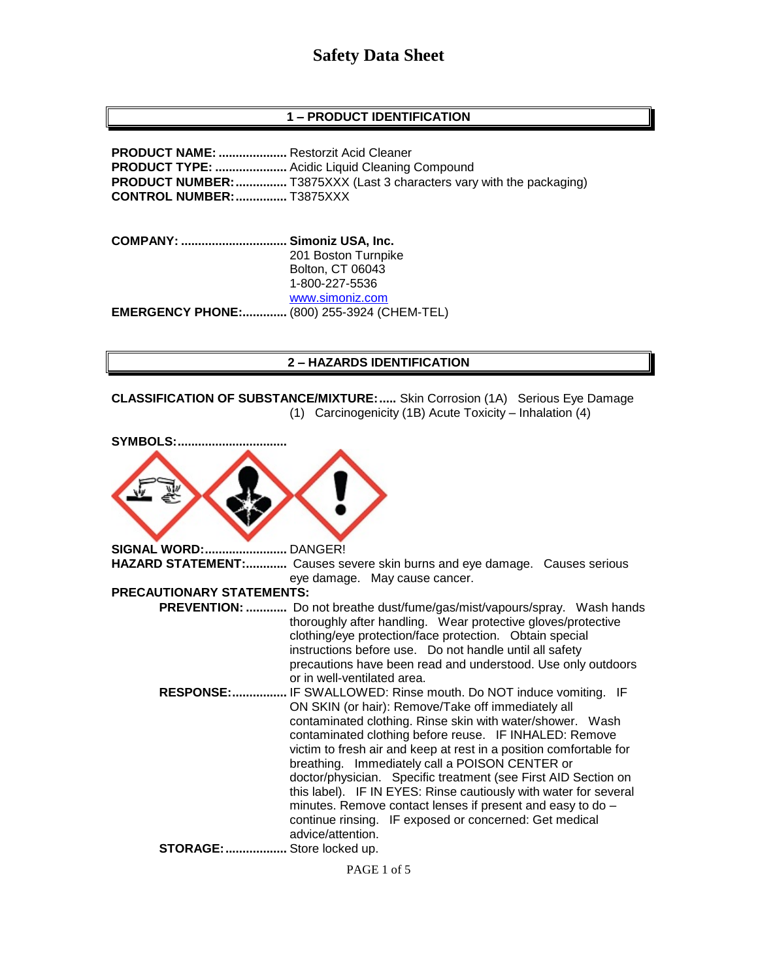## **1 – PRODUCT IDENTIFICATION**

**PRODUCT NAME: ....................** Restorzit Acid Cleaner **PRODUCT TYPE: .....................** Acidic Liquid Cleaning Compound **PRODUCT NUMBER:**................. T3875XXX (Last 3 characters vary with the packaging) **CONTROL NUMBER:...............** T3875XXX

**COMPANY: ............................... Simoniz USA, Inc.** 201 Boston Turnpike Bolton, CT 06043 1-800-227-5536 [www.simoniz.com](http://www.simoniz.com/) **EMERGENCY PHONE:.............** (800) 255-3924 (CHEM-TEL)

#### **2 – HAZARDS IDENTIFICATION**

**CLASSIFICATION OF SUBSTANCE/MIXTURE:.....** Skin Corrosion (1A) Serious Eye Damage (1) Carcinogenicity (1B) Acute Toxicity – Inhalation (4)

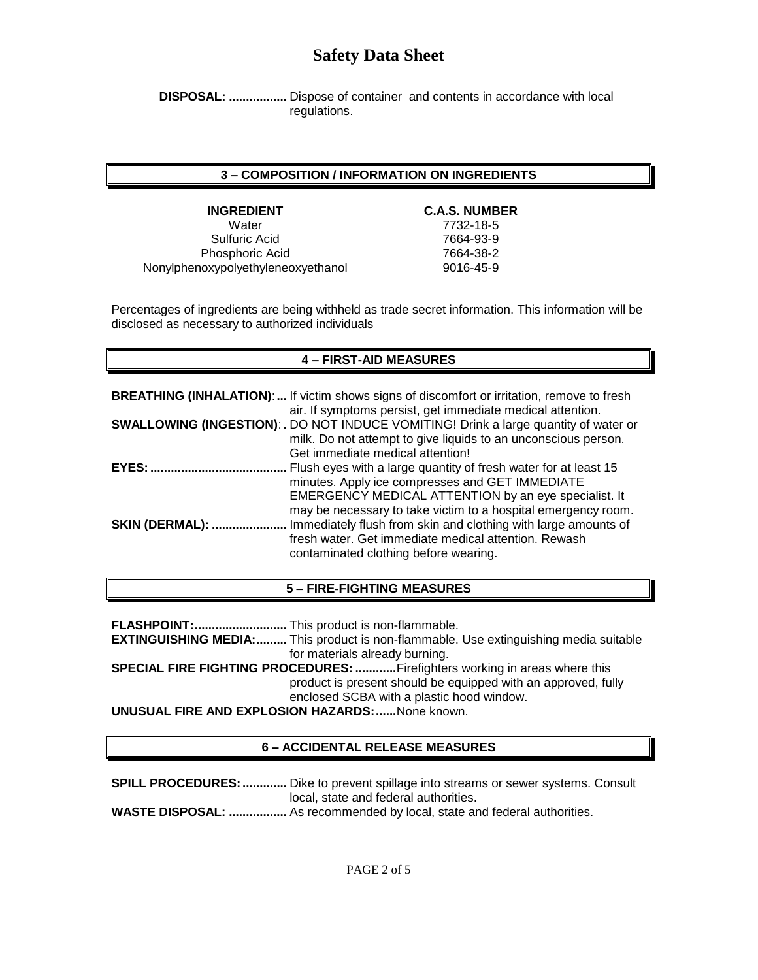**DISPOSAL: .................** Dispose of container and contents in accordance with local regulations.

#### **3 – COMPOSITION / INFORMATION ON INGREDIENTS**

Water 7732-18-5 Sulfuric Acid 7664-93-9 Phosphoric Acid 7664-38-2 Nonylphenoxypolyethyleneoxyethanol 9016-45-9

#### **INGREDIENT C.A.S. NUMBER**

Percentages of ingredients are being withheld as trade secret information. This information will be disclosed as necessary to authorized individuals

#### **4 – FIRST-AID MEASURES**

|                | <b>BREATHING (INHALATION):</b> If victim shows signs of discomfort or irritation, remove to fresh<br>air. If symptoms persist, get immediate medical attention.                                                                  |
|----------------|----------------------------------------------------------------------------------------------------------------------------------------------------------------------------------------------------------------------------------|
|                | <b>SWALLOWING (INGESTION): .</b> DO NOT INDUCE VOMITING! Drink a large quantity of water or<br>milk. Do not attempt to give liquids to an unconscious person.<br>Get immediate medical attention!                                |
| EYES:          | Flush eyes with a large quantity of fresh water for at least 15<br>minutes. Apply ice compresses and GET IMMEDIATE<br>EMERGENCY MEDICAL ATTENTION by an eye specialist. It                                                       |
| SKIN (DERMAL): | may be necessary to take victim to a hospital emergency room.<br>Immediately flush from skin and clothing with large amounts of<br>fresh water. Get immediate medical attention. Rewash<br>contaminated clothing before wearing. |

### **5 – FIRE-FIGHTING MEASURES**

**FLASHPOINT:...........................** This product is non-flammable. **EXTINGUISHING MEDIA:.........** This product is non-flammable. Use extinguishing media suitable for materials already burning. **SPECIAL FIRE FIGHTING PROCEDURES: ............**Firefighters working in areas where this product is present should be equipped with an approved, fully enclosed SCBA with a plastic hood window. **UNUSUAL FIRE AND EXPLOSION HAZARDS:......**None known.

### **6 – ACCIDENTAL RELEASE MEASURES**

**SPILL PROCEDURES:.............** Dike to prevent spillage into streams or sewer systems. Consult local, state and federal authorities. **WASTE DISPOSAL: .................** As recommended by local, state and federal authorities.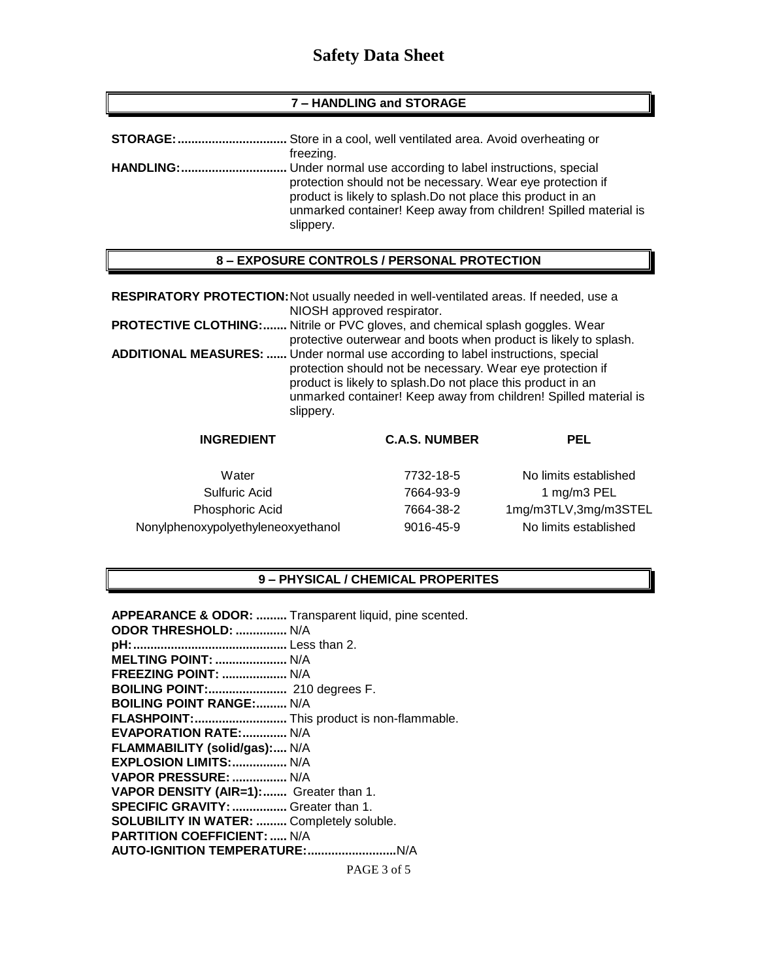#### **7 – HANDLING and STORAGE**

|                  | freezing.                                                                                                                                                                                                                                                                |
|------------------|--------------------------------------------------------------------------------------------------------------------------------------------------------------------------------------------------------------------------------------------------------------------------|
| <b>HANDLING:</b> | Under normal use according to label instructions, special<br>protection should not be necessary. Wear eye protection if<br>product is likely to splash. Do not place this product in an<br>unmarked container! Keep away from children! Spilled material is<br>slippery. |

#### **8 – EXPOSURE CONTROLS / PERSONAL PROTECTION**

|                   | RESPIRATORY PROTECTION: Not usually needed in well-ventilated areas. If needed, use a                                                                                                                                                                                                                 |  |
|-------------------|-------------------------------------------------------------------------------------------------------------------------------------------------------------------------------------------------------------------------------------------------------------------------------------------------------|--|
|                   | NIOSH approved respirator.                                                                                                                                                                                                                                                                            |  |
|                   | <b>PROTECTIVE CLOTHING: Nitrile or PVC gloves, and chemical splash goggles. Wear</b><br>protective outerwear and boots when product is likely to splash.                                                                                                                                              |  |
|                   | <b>ADDITIONAL MEASURES: </b> Under normal use according to label instructions, special<br>protection should not be necessary. Wear eye protection if<br>product is likely to splash. Do not place this product in an<br>unmarked container! Keep away from children! Spilled material is<br>slippery. |  |
| <b>INGREDIENT</b> | <b>C.A.S. NUMBER</b><br>PEL                                                                                                                                                                                                                                                                           |  |

Water 7732-18-5 Sulfuric Acid 7664-93-9 Phosphoric Acid 7664-38-2 Nonylphenoxypolyethyleneoxyethanol 9016-45-9

| No limits established |
|-----------------------|
| 1 mg/m3 PEL           |
| 1mg/m3TLV,3mg/m3STEL  |
| No limits established |
|                       |

#### **9 – PHYSICAL / CHEMICAL PROPERITES**

PAGE 3 of 5 **APPEARANCE & ODOR: .........** Transparent liquid, pine scented. **ODOR THRESHOLD: ...............** N/A **pH:.............................................** Less than 2. **MELTING POINT: .....................** N/A **FREEZING POINT: ...................** N/A **BOILING POINT:.......................** 210 degrees F. **BOILING POINT RANGE:.........** N/A **FLASHPOINT:...........................** This product is non-flammable. **EVAPORATION RATE:.............** N/A **FLAMMABILITY (solid/gas):....** N/A **EXPLOSION LIMITS:................** N/A **VAPOR PRESSURE: ................** N/A **VAPOR DENSITY (AIR=1):.......** Greater than 1. **SPECIFIC GRAVITY:................** Greater than 1. **SOLUBILITY IN WATER: .........** Completely soluble. **PARTITION COEFFICIENT: .....** N/A **AUTO-IGNITION TEMPERATURE:..........................**N/A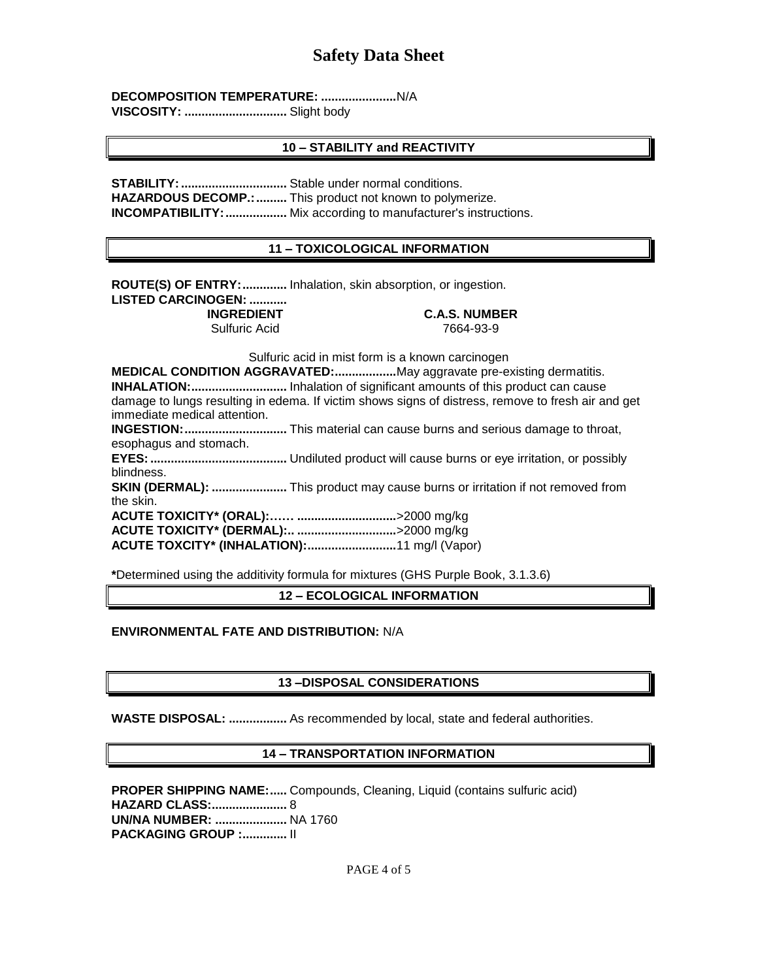**DECOMPOSITION TEMPERATURE: ......................**N/A

**VISCOSITY: ..............................** Slight body

## **10 – STABILITY and REACTIVITY**

**STABILITY:...............................** Stable under normal conditions. **HAZARDOUS DECOMP.:.........** This product not known to polymerize. **INCOMPATIBILITY: ...................** Mix according to manufacturer's instructions.

## **11 – TOXICOLOGICAL INFORMATION**

**ROUTE(S) OF ENTRY:.............** Inhalation, skin absorption, or ingestion. **LISTED CARCINOGEN: ...........**

Sulfuric Acid

**INGREDIENT**<br>
Sulfuric Acid
2664-93-9

Sulfuric acid in mist form is a known carcinogen

**MEDICAL CONDITION AGGRAVATED:..................**May aggravate pre-existing dermatitis. **INHALATION:............................** Inhalation of significant amounts of this product can cause damage to lungs resulting in edema. If victim shows signs of distress, remove to fresh air and get immediate medical attention.

**INGESTION:..............................** This material can cause burns and serious damage to throat, esophagus and stomach.

**EYES:........................................** Undiluted product will cause burns or eye irritation, or possibly blindness.

**SKIN (DERMAL): ......................** This product may cause burns or irritation if not removed from the skin.

**ACUTE TOXICITY\* (ORAL):…… .............................**>2000 mg/kg **ACUTE TOXICITY\* (DERMAL):.. .............................**>2000 mg/kg **ACUTE TOXCITY\* (INHALATION):..........................**11 mg/l (Vapor)

**\***Determined using the additivity formula for mixtures (GHS Purple Book, 3.1.3.6)

**12 – ECOLOGICAL INFORMATION**

## **ENVIRONMENTAL FATE AND DISTRIBUTION:** N/A

### **13 –DISPOSAL CONSIDERATIONS**

**WASTE DISPOSAL: .................** As recommended by local, state and federal authorities.

### **14 – TRANSPORTATION INFORMATION**

**PROPER SHIPPING NAME:.....** Compounds, Cleaning, Liquid (contains sulfuric acid) **HAZARD CLASS:......................** 8 **UN/NA NUMBER: .....................** NA 1760 **PACKAGING GROUP :.............** II